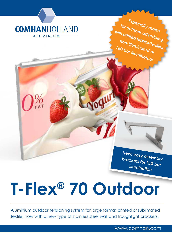

**New: easy assembly brackets for LED bar illumination**

**Especially made for outdoor advertising with printed fabrics/textiles, non-illuminated or LED bar illuminated!**

# **T-Flex® 70 Outdoor**

Aluminium outdoor tensioning system for large format printed or sublimated textile, now with a new type of stainless steel wall and troughlight brackets.

www.comhan.com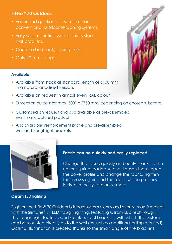## **T-Flex® 70 Outdoor:**

- Easier and quicker to assemble than conventional outdoor tensioning systems.
- Easy wall mounting with stainless steel wall brackets.
- Can also be (back)lit using LEDs.
- Only 70 mm deep!

## **Available:**

- Available from stock at standard length of 6100 mm in a natural anodised version.
- Available on request in almost every RAL colour.
- Dimension guidelines: max. 5000 x 2750 mm, depending on chosen substrate.
- Customised on request and also available as pre-assembled semi-manufactured product.
- Also available: reinforcement profile and pre-assembled wall and troughlight brackets.



### **Osram LED lighting**

## **Fabric can be quickly and easily replaced**

Change the fabric quickly and easily thanks to the cover's spring-loaded screws. Loosen them, open the cover profile and change the fabric. Tighten the screws again and the fabric will be properly locked in the system once more.

Brighten the T-Flex® 70 Outdoor billboard system clearly and evenly (max. 3 metres) with the SlimLine® S1 LED trough lighting, featuring Osram LED technology. The trough light features solid stainless steel brackets, with which the system can be mounted directly on to the wall (as such no additional drilling required). Optimal illumination is created thanks to the smart angle of the brackets.

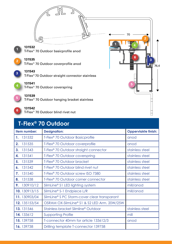

# **T-Flex® 70 Outdoor**

|                | Item number:  | <b>Designation:</b>                               | <b>Oppervlakte finish:</b> |
|----------------|---------------|---------------------------------------------------|----------------------------|
|                | 1. 131532     | T-Flex <sup>®</sup> 70 Outdoor Basicprofile       | anod                       |
| 2.             | 131535        | T-Flex <sup>®</sup> 70 Outdoor coverprofile       | anod                       |
| 3 <sub>1</sub> | 131543        | T-Flex <sup>®</sup> 70 Outdoor straight connector | stainless steel            |
| 4.             | 131541        | T-Flex <sup>®</sup> 70 Outdoor coverspring        | stainless steel            |
| 5.             | 131539        | T-Flex <sup>®</sup> 70 Outdoor bracket            | stainless steel            |
| 6.             | 131542        | T-Flex <sup>®</sup> 70 Outdoor blind rivet nut    | stainless steel            |
| 7.             | 131540        | T-Flex <sup>®</sup> 70 Outdoor screw ISO 7380     | stainless steel            |
| 8.             | 131538        | T-Flex <sup>®</sup> 70 Outdoor corner connector   | stainless steel            |
| 9.             | 130910/12     | SlimLine® S1 LED lighting system                  | mill/anod                  |
|                | 10. 130913/15 | SlimLine® S-1 Endpiece L/R                        | mill/anod                  |
|                | 11.130903/04  | SlimLine® S PC Storm-cover clear transparant      |                            |
|                | 12. 135153/54 | OSRAM OX-SlimLine® S1 & S2 LED Arm. 20W/25W       |                            |
|                | 13.131546     | Stainless bracket Slimline® Outdoor               | stainless steel            |
|                | 14.133612     | <b>Supporting Profile</b>                         | mill                       |
|                | 15.139758     | T-connector 40mm for article 133612/3             | anod                       |
|                | 16.139738     | Drilling template T-connector 139758              |                            |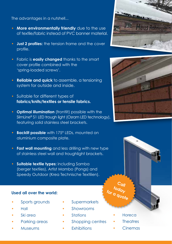The advantages in a nutshell...

- **More environmentally friendly** due to the use of textile/fabric instead of PVC banner material.
- **Just 2 profiles:** the tension frame and the cover profile.
- Fabric is **easily changed** thanks to the smart cover profile combined with the 'spring-loaded screws'.
- **Reliable and quick** to assemble, a tensioning system for outside and inside.
- Suitable for different types of **fabrics/knits/textiles or tensile fabrics.**
- **Optimal illumination** (frontlit) possible with the SlimLine® S1 LED trough light (Osram LED technology), featuring solid stainless steel brackets.
- **Backlit possible** with 175° LEDs, mounted on aluminium composite plate.
- **Fast wall mounting** and less drilling with new type of stainless steel wall and troughlight brackets.
- **Suitable textile types:** including Samba (berger textiles), Artist Mambo (Pongs) and Speedy Outdoor (Krea Technische Textilien).

## **Used all over the world:**

- Sports grounds
- Hall
- Ski area
- Parking areas
- **Museums**
- **Supermarkets**
- Showrooms
- **Stations**
- Shopping centres
- **Fxhibitions**

![](_page_3_Picture_21.jpeg)

![](_page_3_Picture_22.jpeg)

![](_page_3_Picture_23.jpeg)

**Call today for a quote**

- **Theatres**
- **Cinemas**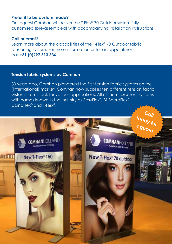## **Prefer it to be custom made?**

On request Comhan will deliver the T-Flex® 70 Outdoor system fully customised (pre-assembled) with accompanying installation instructions.

### **Call or email!**

Learn more about the capabilities of the T-Flex® 70 Outdoor fabric tensioning system. For more information or for an appointment call **+31 (0)297 513 636**.

## **Tension fabric systems by Comhan**

30 years ago, Comhan pioneered the first tension fabric systems on the (international) market. Comhan now supplies ten different tension fabric systems from stock for various applications. All of them excellent systems with names known in the industry as EasyFlex®, BillBoardFlex®, DainoFlex® and T-Flex®.

![](_page_4_Picture_6.jpeg)